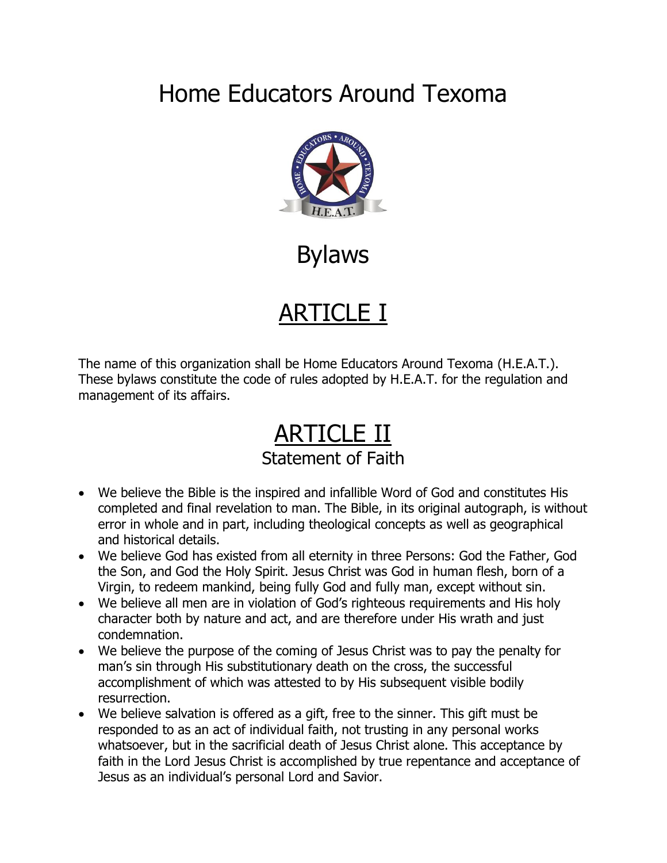## Home Educators Around Texoma



Bylaws

## ARTICLE I

The name of this organization shall be Home Educators Around Texoma (H.E.A.T.). These bylaws constitute the code of rules adopted by H.E.A.T. for the regulation and management of its affairs.

### ARTICLE II Statement of Faith

- We believe the Bible is the inspired and infallible Word of God and constitutes His completed and final revelation to man. The Bible, in its original autograph, is without error in whole and in part, including theological concepts as well as geographical and historical details.
- We believe God has existed from all eternity in three Persons: God the Father, God the Son, and God the Holy Spirit. Jesus Christ was God in human flesh, born of a Virgin, to redeem mankind, being fully God and fully man, except without sin.
- We believe all men are in violation of God's righteous requirements and His holy character both by nature and act, and are therefore under His wrath and just condemnation.
- We believe the purpose of the coming of Jesus Christ was to pay the penalty for man's sin through His substitutionary death on the cross, the successful accomplishment of which was attested to by His subsequent visible bodily resurrection.
- We believe salvation is offered as a gift, free to the sinner. This gift must be responded to as an act of individual faith, not trusting in any personal works whatsoever, but in the sacrificial death of Jesus Christ alone. This acceptance by faith in the Lord Jesus Christ is accomplished by true repentance and acceptance of Jesus as an individual's personal Lord and Savior.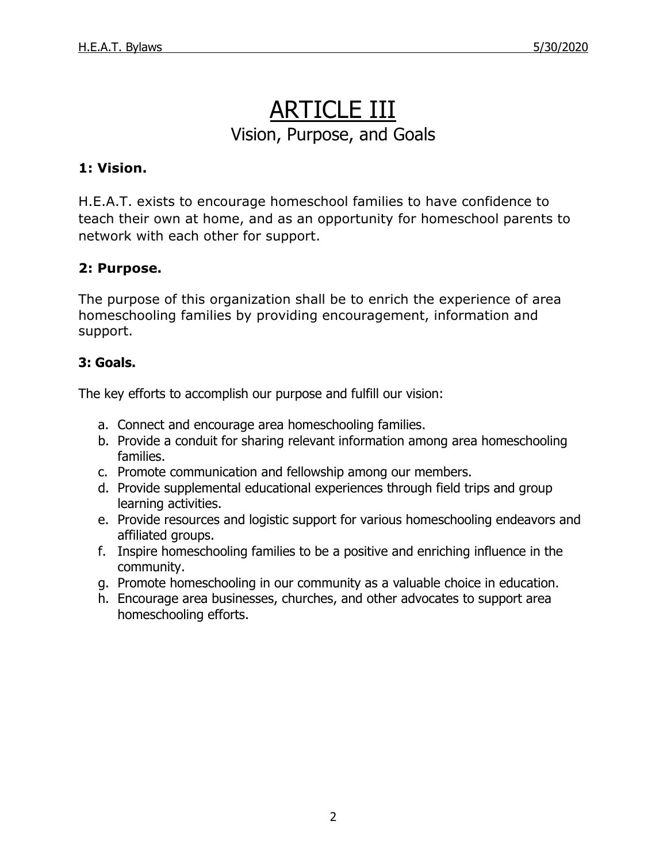### ARTICLE III Vision, Purpose, and Goals

### **1: Vision.**

H.E.A.T. exists to encourage homeschool families to have confidence to teach their own at home, and as an opportunity for homeschool parents to network with each other for support.

### **2: Purpose.**

The purpose of this organization shall be to enrich the experience of area homeschooling families by providing encouragement, information and support.

### **3: Goals.**

The key efforts to accomplish our purpose and fulfill our vision:

- a. Connect and encourage area homeschooling families.
- b. Provide a conduit for sharing relevant information among area homeschooling families.
- c. Promote communication and fellowship among our members.
- d. Provide supplemental educational experiences through field trips and group learning activities.
- e. Provide resources and logistic support for various homeschooling endeavors and affiliated groups.
- f. Inspire homeschooling families to be a positive and enriching influence in the community.
- g. Promote homeschooling in our community as a valuable choice in education.
- h. Encourage area businesses, churches, and other advocates to support area homeschooling efforts.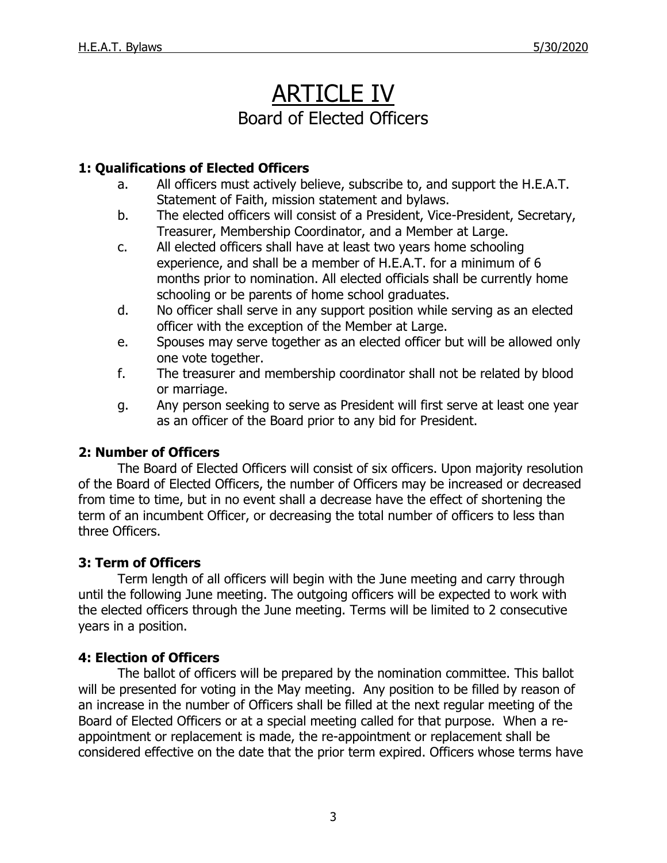### ARTICLE IV Board of Elected Officers

### **1: Qualifications of Elected Officers**

- a. All officers must actively believe, subscribe to, and support the H.E.A.T. Statement of Faith, mission statement and bylaws.
- b. The elected officers will consist of a President, Vice-President, Secretary, Treasurer, Membership Coordinator, and a Member at Large.
- c. All elected officers shall have at least two years home schooling experience, and shall be a member of H.E.A.T. for a minimum of 6 months prior to nomination. All elected officials shall be currently home schooling or be parents of home school graduates.
- d. No officer shall serve in any support position while serving as an elected officer with the exception of the Member at Large.
- e. Spouses may serve together as an elected officer but will be allowed only one vote together.
- f. The treasurer and membership coordinator shall not be related by blood or marriage.
- g. Any person seeking to serve as President will first serve at least one year as an officer of the Board prior to any bid for President.

### **2: Number of Officers**

The Board of Elected Officers will consist of six officers. Upon majority resolution of the Board of Elected Officers, the number of Officers may be increased or decreased from time to time, but in no event shall a decrease have the effect of shortening the term of an incumbent Officer, or decreasing the total number of officers to less than three Officers.

### **3: Term of Officers**

Term length of all officers will begin with the June meeting and carry through until the following June meeting. The outgoing officers will be expected to work with the elected officers through the June meeting. Terms will be limited to 2 consecutive years in a position.

### **4: Election of Officers**

The ballot of officers will be prepared by the nomination committee. This ballot will be presented for voting in the May meeting. Any position to be filled by reason of an increase in the number of Officers shall be filled at the next regular meeting of the Board of Elected Officers or at a special meeting called for that purpose. When a reappointment or replacement is made, the re-appointment or replacement shall be considered effective on the date that the prior term expired. Officers whose terms have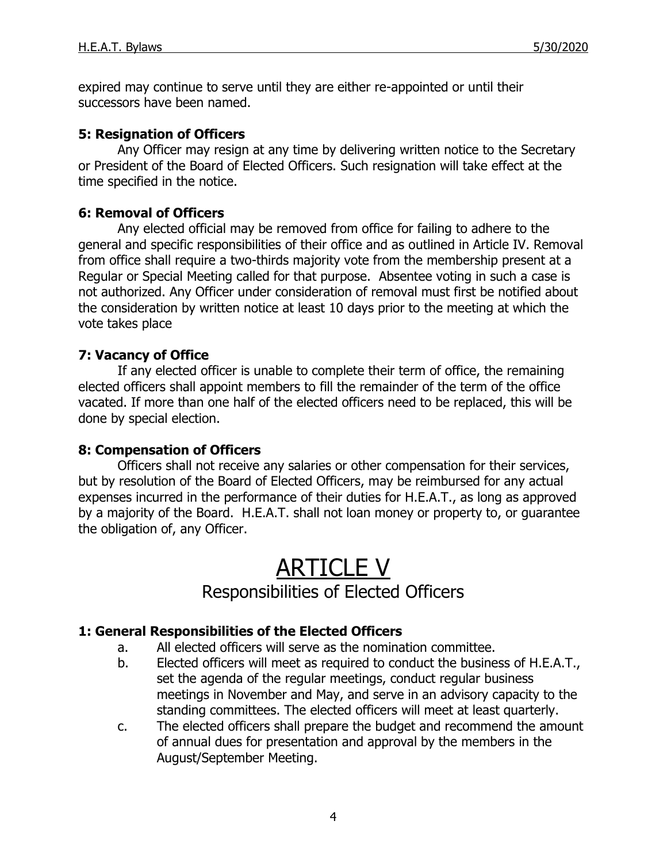expired may continue to serve until they are either re-appointed or until their successors have been named.

### **5: Resignation of Officers**

Any Officer may resign at any time by delivering written notice to the Secretary or President of the Board of Elected Officers. Such resignation will take effect at the time specified in the notice.

### **6: Removal of Officers**

Any elected official may be removed from office for failing to adhere to the general and specific responsibilities of their office and as outlined in Article IV. Removal from office shall require a two-thirds majority vote from the membership present at a Regular or Special Meeting called for that purpose. Absentee voting in such a case is not authorized. Any Officer under consideration of removal must first be notified about the consideration by written notice at least 10 days prior to the meeting at which the vote takes place

### **7: Vacancy of Office**

If any elected officer is unable to complete their term of office, the remaining elected officers shall appoint members to fill the remainder of the term of the office vacated. If more than one half of the elected officers need to be replaced, this will be done by special election.

### **8: Compensation of Officers**

Officers shall not receive any salaries or other compensation for their services, but by resolution of the Board of Elected Officers, may be reimbursed for any actual expenses incurred in the performance of their duties for H.E.A.T., as long as approved by a majority of the Board. H.E.A.T. shall not loan money or property to, or guarantee the obligation of, any Officer.

## ARTICLE V

### Responsibilities of Elected Officers

### **1: General Responsibilities of the Elected Officers**

- a. All elected officers will serve as the nomination committee.
- b. Elected officers will meet as required to conduct the business of H.E.A.T., set the agenda of the regular meetings, conduct regular business meetings in November and May, and serve in an advisory capacity to the standing committees. The elected officers will meet at least quarterly.
- c. The elected officers shall prepare the budget and recommend the amount of annual dues for presentation and approval by the members in the August/September Meeting.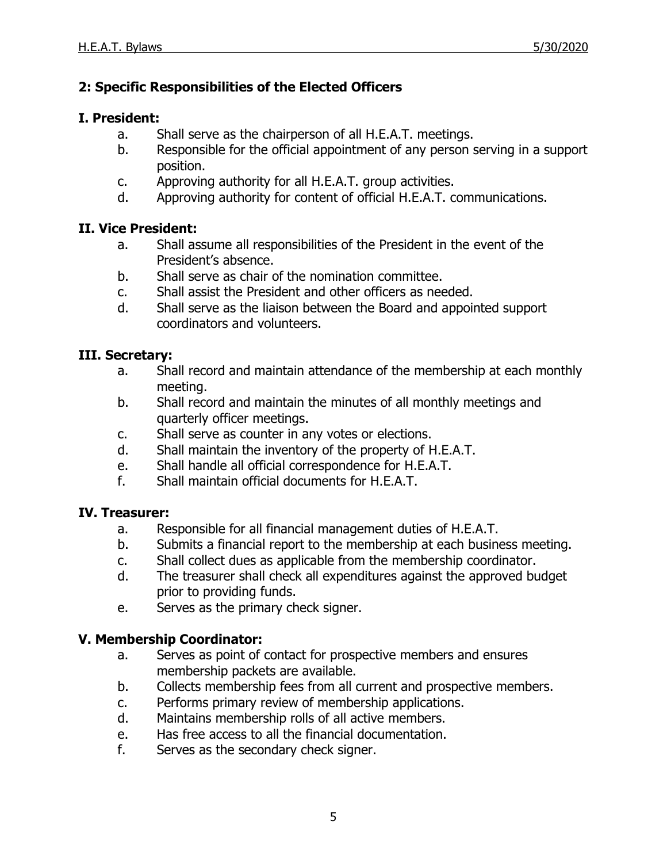### **2: Specific Responsibilities of the Elected Officers**

### **I. President:**

- a. Shall serve as the chairperson of all H.E.A.T. meetings.
- b. Responsible for the official appointment of any person serving in a support position.
- c. Approving authority for all H.E.A.T. group activities.
- d. Approving authority for content of official H.E.A.T. communications.

### **II. Vice President:**

- a. Shall assume all responsibilities of the President in the event of the President's absence.
- b. Shall serve as chair of the nomination committee.
- c. Shall assist the President and other officers as needed.
- d. Shall serve as the liaison between the Board and appointed support coordinators and volunteers.

#### **III. Secretary:**

- a. Shall record and maintain attendance of the membership at each monthly meeting.
- b. Shall record and maintain the minutes of all monthly meetings and quarterly officer meetings.
- c. Shall serve as counter in any votes or elections.
- d. Shall maintain the inventory of the property of H.E.A.T.
- e. Shall handle all official correspondence for H.E.A.T.
- f. Shall maintain official documents for H.E.A.T.

#### **IV. Treasurer:**

- a. Responsible for all financial management duties of H.E.A.T.
- b. Submits a financial report to the membership at each business meeting.
- c. Shall collect dues as applicable from the membership coordinator.
- d. The treasurer shall check all expenditures against the approved budget prior to providing funds.
- e. Serves as the primary check signer.

### **V. Membership Coordinator:**

- a. Serves as point of contact for prospective members and ensures membership packets are available.
- b. Collects membership fees from all current and prospective members.
- c. Performs primary review of membership applications.
- d. Maintains membership rolls of all active members.
- e. Has free access to all the financial documentation.
- f. Serves as the secondary check signer.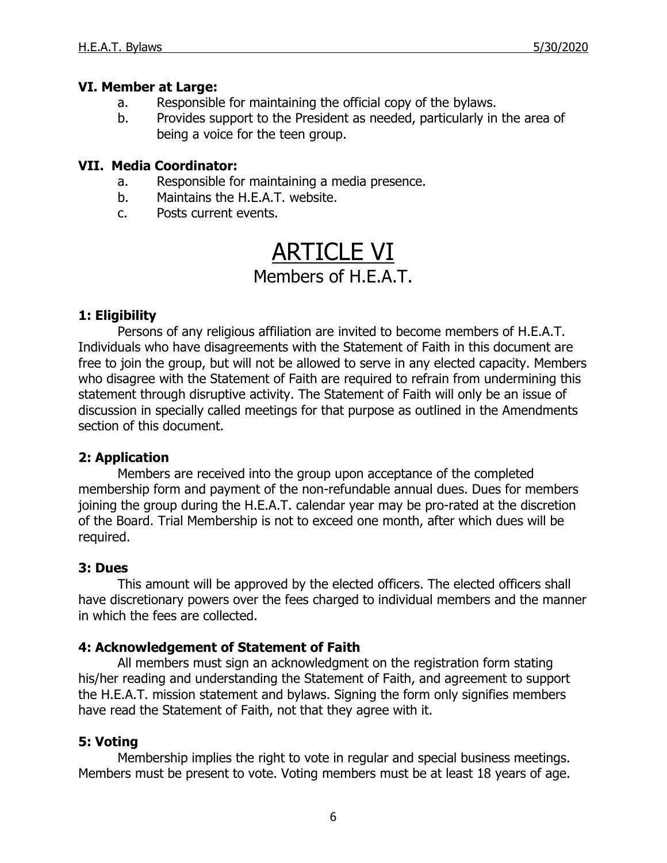### **VI. Member at Large:**

- a. Responsible for maintaining the official copy of the bylaws.
- b. Provides support to the President as needed, particularly in the area of being a voice for the teen group.

#### **VII. Media Coordinator:**

- a. Responsible for maintaining a media presence.
- b. Maintains the H.E.A.T. website.
- c. Posts current events.

# ARTICLE VI

### Members of H.E.A.T.

### **1: Eligibility**

Persons of any religious affiliation are invited to become members of H.E.A.T. Individuals who have disagreements with the Statement of Faith in this document are free to join the group, but will not be allowed to serve in any elected capacity. Members who disagree with the Statement of Faith are required to refrain from undermining this statement through disruptive activity. The Statement of Faith will only be an issue of discussion in specially called meetings for that purpose as outlined in the Amendments section of this document.

### **2: Application**

Members are received into the group upon acceptance of the completed membership form and payment of the non-refundable annual dues. Dues for members joining the group during the H.E.A.T. calendar year may be pro-rated at the discretion of the Board. Trial Membership is not to exceed one month, after which dues will be required.

### **3: Dues**

This amount will be approved by the elected officers. The elected officers shall have discretionary powers over the fees charged to individual members and the manner in which the fees are collected.

### **4: Acknowledgement of Statement of Faith**

All members must sign an acknowledgment on the registration form stating his/her reading and understanding the Statement of Faith, and agreement to support the H.E.A.T. mission statement and bylaws. Signing the form only signifies members have read the Statement of Faith, not that they agree with it.

### **5: Voting**

Membership implies the right to vote in regular and special business meetings. Members must be present to vote. Voting members must be at least 18 years of age.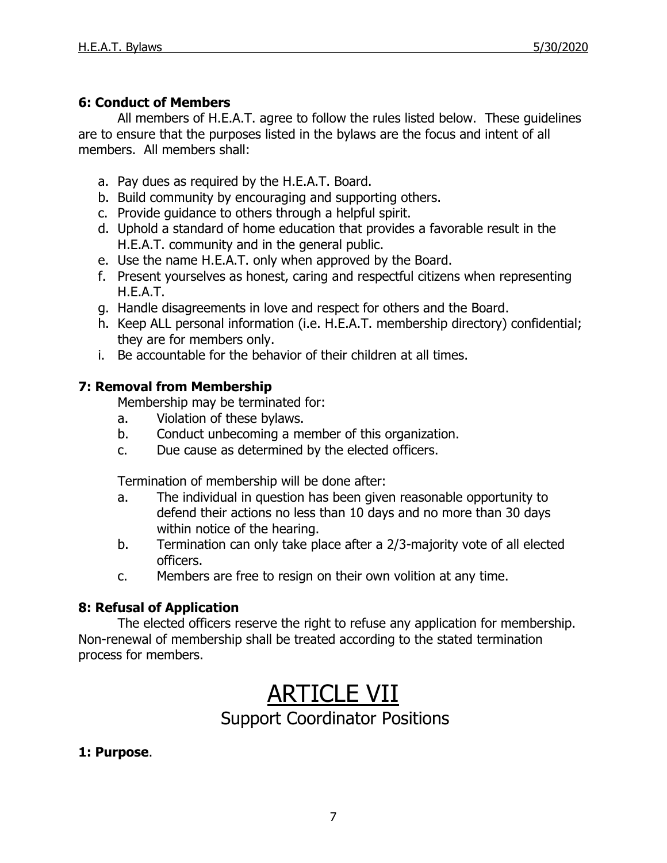### **6: Conduct of Members**

All members of H.E.A.T. agree to follow the rules listed below. These guidelines are to ensure that the purposes listed in the bylaws are the focus and intent of all members. All members shall:

- a. Pay dues as required by the H.E.A.T. Board.
- b. Build community by encouraging and supporting others.
- c. Provide guidance to others through a helpful spirit.
- d. Uphold a standard of home education that provides a favorable result in the H.E.A.T. community and in the general public.
- e. Use the name H.E.A.T. only when approved by the Board.
- f. Present yourselves as honest, caring and respectful citizens when representing H.E.A.T.
- g. Handle disagreements in love and respect for others and the Board.
- h. Keep ALL personal information (i.e. H.E.A.T. membership directory) confidential; they are for members only.
- i. Be accountable for the behavior of their children at all times.

### **7: Removal from Membership**

Membership may be terminated for:

- a. Violation of these bylaws.
- b. Conduct unbecoming a member of this organization.
- c. Due cause as determined by the elected officers.

Termination of membership will be done after:

- a. The individual in question has been given reasonable opportunity to defend their actions no less than 10 days and no more than 30 days within notice of the hearing.
- b. Termination can only take place after a 2/3-majority vote of all elected officers.
- c. Members are free to resign on their own volition at any time.

### **8: Refusal of Application**

The elected officers reserve the right to refuse any application for membership. Non-renewal of membership shall be treated according to the stated termination process for members.

## **ARTICLE VII**

### Support Coordinator Positions

### **1: Purpose**.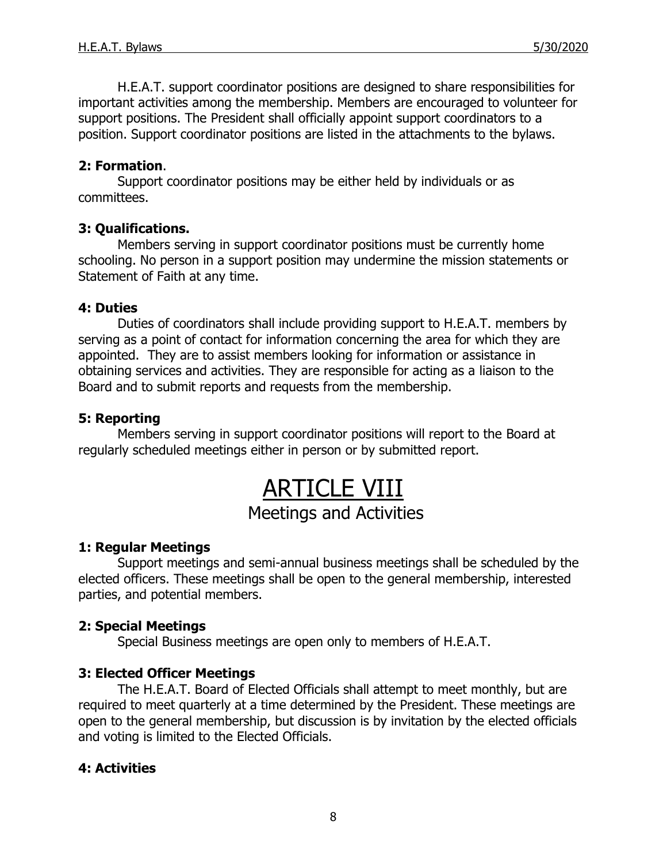H.E.A.T. support coordinator positions are designed to share responsibilities for important activities among the membership. Members are encouraged to volunteer for support positions. The President shall officially appoint support coordinators to a position. Support coordinator positions are listed in the attachments to the bylaws.

### **2: Formation**.

Support coordinator positions may be either held by individuals or as committees.

### **3: Qualifications.**

Members serving in support coordinator positions must be currently home schooling. No person in a support position may undermine the mission statements or Statement of Faith at any time.

#### **4: Duties**

Duties of coordinators shall include providing support to H.E.A.T. members by serving as a point of contact for information concerning the area for which they are appointed. They are to assist members looking for information or assistance in obtaining services and activities. They are responsible for acting as a liaison to the Board and to submit reports and requests from the membership.

#### **5: Reporting**

Members serving in support coordinator positions will report to the Board at regularly scheduled meetings either in person or by submitted report.

### ARTICLE VIII Meetings and Activities

### **1: Regular Meetings**

Support meetings and semi-annual business meetings shall be scheduled by the elected officers. These meetings shall be open to the general membership, interested parties, and potential members.

### **2: Special Meetings**

Special Business meetings are open only to members of H.E.A.T.

### **3: Elected Officer Meetings**

The H.E.A.T. Board of Elected Officials shall attempt to meet monthly, but are required to meet quarterly at a time determined by the President. These meetings are open to the general membership, but discussion is by invitation by the elected officials and voting is limited to the Elected Officials.

### **4: Activities**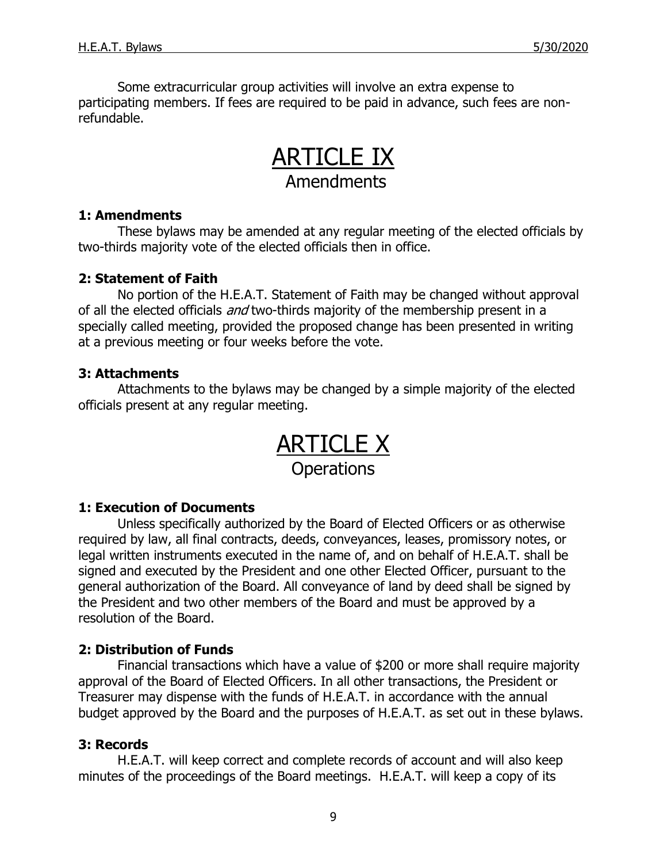Some extracurricular group activities will involve an extra expense to participating members. If fees are required to be paid in advance, such fees are nonrefundable.

### ARTICLE IX Amendments

#### **1: Amendments**

These bylaws may be amended at any regular meeting of the elected officials by two-thirds majority vote of the elected officials then in office.

### **2: Statement of Faith**

No portion of the H.E.A.T. Statement of Faith may be changed without approval of all the elected officials and two-thirds majority of the membership present in a specially called meeting, provided the proposed change has been presented in writing at a previous meeting or four weeks before the vote.

### **3: Attachments**

Attachments to the bylaws may be changed by a simple majority of the elected officials present at any regular meeting.

> ARTICLE X **Operations**

### **1: Execution of Documents**

Unless specifically authorized by the Board of Elected Officers or as otherwise required by law, all final contracts, deeds, conveyances, leases, promissory notes, or legal written instruments executed in the name of, and on behalf of H.E.A.T. shall be signed and executed by the President and one other Elected Officer, pursuant to the general authorization of the Board. All conveyance of land by deed shall be signed by the President and two other members of the Board and must be approved by a resolution of the Board.

### **2: Distribution of Funds**

Financial transactions which have a value of \$200 or more shall require majority approval of the Board of Elected Officers. In all other transactions, the President or Treasurer may dispense with the funds of H.E.A.T. in accordance with the annual budget approved by the Board and the purposes of H.E.A.T. as set out in these bylaws.

### **3: Records**

H.E.A.T. will keep correct and complete records of account and will also keep minutes of the proceedings of the Board meetings. H.E.A.T. will keep a copy of its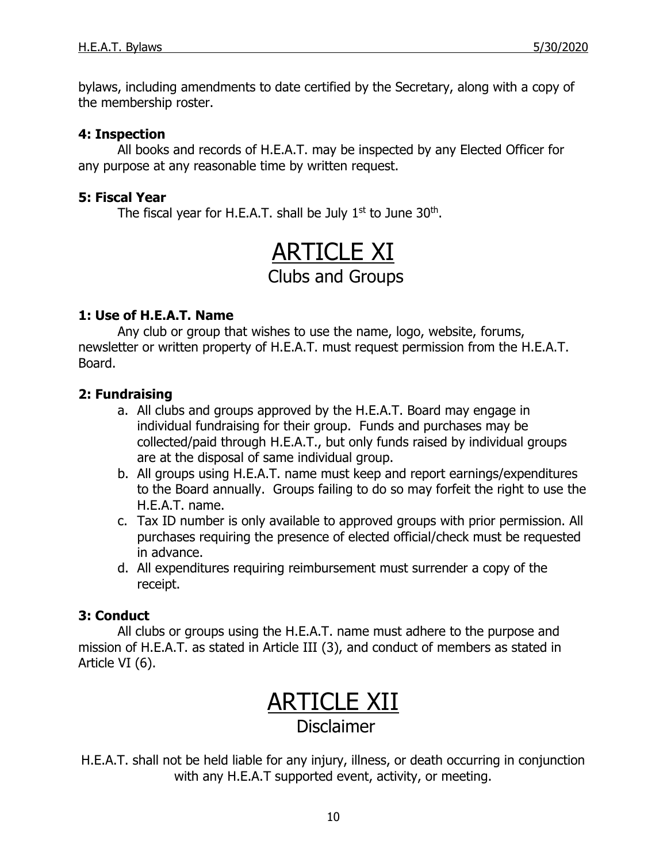bylaws, including amendments to date certified by the Secretary, along with a copy of the membership roster.

### **4: Inspection**

All books and records of H.E.A.T. may be inspected by any Elected Officer for any purpose at any reasonable time by written request.

### **5: Fiscal Year**

The fiscal year for H.E.A.T. shall be July  $1<sup>st</sup>$  to June  $30<sup>th</sup>$ .

## ARTICLE XI

### Clubs and Groups

### **1: Use of H.E.A.T. Name**

Any club or group that wishes to use the name, logo, website, forums, newsletter or written property of H.E.A.T. must request permission from the H.E.A.T. Board.

### **2: Fundraising**

- a. All clubs and groups approved by the H.E.A.T. Board may engage in individual fundraising for their group. Funds and purchases may be collected/paid through H.E.A.T., but only funds raised by individual groups are at the disposal of same individual group.
- b. All groups using H.E.A.T. name must keep and report earnings/expenditures to the Board annually. Groups failing to do so may forfeit the right to use the H.E.A.T. name.
- c. Tax ID number is only available to approved groups with prior permission. All purchases requiring the presence of elected official/check must be requested in advance.
- d. All expenditures requiring reimbursement must surrender a copy of the receipt.

### **3: Conduct**

All clubs or groups using the H.E.A.T. name must adhere to the purpose and mission of H.E.A.T. as stated in Article III (3), and conduct of members as stated in Article VI (6).

## ARTICLE XII

### Disclaimer

H.E.A.T. shall not be held liable for any injury, illness, or death occurring in conjunction with any H.E.A.T supported event, activity, or meeting.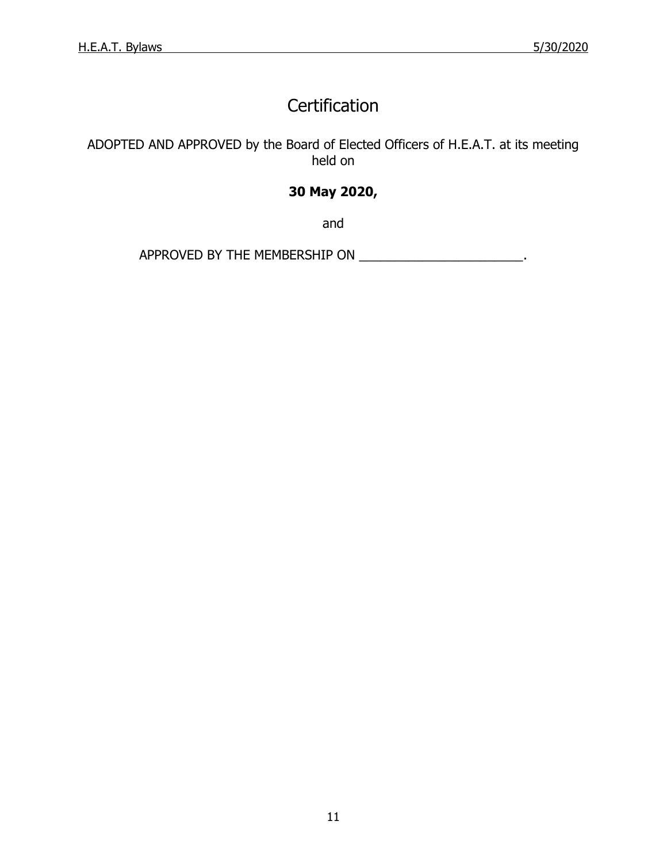### **Certification**

ADOPTED AND APPROVED by the Board of Elected Officers of H.E.A.T. at its meeting held on

### **30 May 2020,**

and

APPROVED BY THE MEMBERSHIP ON \_\_\_\_\_\_\_\_\_\_\_\_\_\_\_\_\_\_\_\_\_\_\_\_\_.